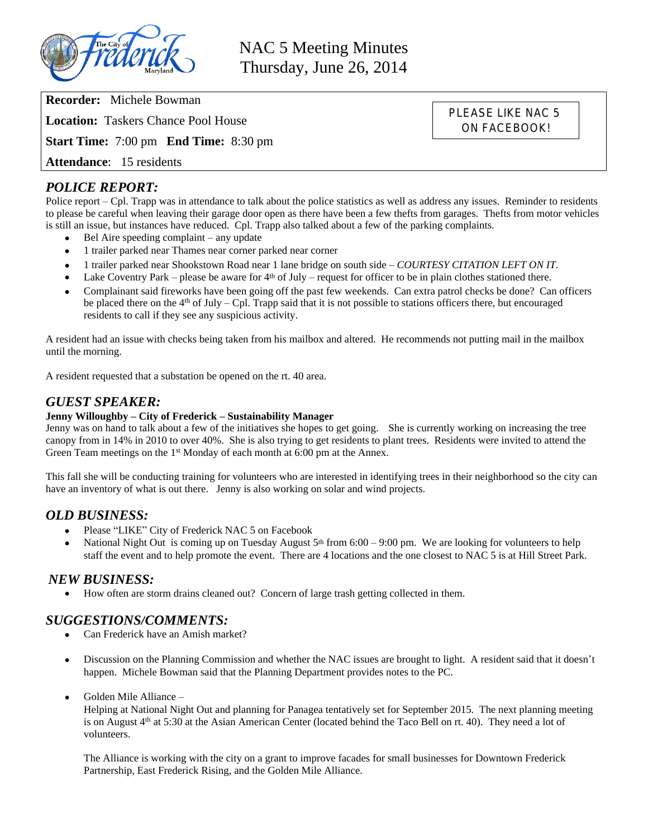

NAC 5 Meeting Minutes Thursday, June 26, 2014

> PLEASE LIKE NAC 5 ON FACEBOOK!

**Recorder:** Michele Bowman

**Location:** Taskers Chance Pool House

**Start Time:** 7:00 pm **End Time:** 8:30 pm

**Attendance**: 15 residents

# *POLICE REPORT:*

Police report – Cpl. Trapp was in attendance to talk about the police statistics as well as address any issues. Reminder to residents to please be careful when leaving their garage door open as there have been a few thefts from garages. Thefts from motor vehicles is still an issue, but instances have reduced. Cpl. Trapp also talked about a few of the parking complaints.

- Bel Aire speeding complaint any update
- 1 trailer parked near Thames near corner parked near corner
- 1 trailer parked near Shookstown Road near 1 lane bridge on south side *COURTESY CITATION LEFT ON IT.*
- Lake Coventry Park please be aware for  $4<sup>th</sup>$  of July request for officer to be in plain clothes stationed there.
- Complainant said fireworks have been going off the past few weekends. Can extra patrol checks be done? Can officers be placed there on the  $4<sup>th</sup>$  of July – Cpl. Trapp said that it is not possible to stations officers there, but encouraged residents to call if they see any suspicious activity.

A resident had an issue with checks being taken from his mailbox and altered. He recommends not putting mail in the mailbox until the morning.

A resident requested that a substation be opened on the rt. 40 area.

# *GUEST SPEAKER:*

#### **Jenny Willoughby – City of Frederick – Sustainability Manager**

Jenny was on hand to talk about a few of the initiatives she hopes to get going. She is currently working on increasing the tree canopy from in 14% in 2010 to over 40%. She is also trying to get residents to plant trees. Residents were invited to attend the Green Team meetings on the 1<sup>st</sup> Monday of each month at 6:00 pm at the Annex.

This fall she will be conducting training for volunteers who are interested in identifying trees in their neighborhood so the city can have an inventory of what is out there. Jenny is also working on solar and wind projects.

### *OLD BUSINESS:*

- Please "LIKE" City of Frederick NAC 5 on Facebook
- National Night Out is coming up on Tuesday August  $5<sup>th</sup>$  from  $6:00 9:00$  pm. We are looking for volunteers to help staff the event and to help promote the event. There are 4 locations and the one closest to NAC 5 is at Hill Street Park.

#### *NEW BUSINESS:*

How often are storm drains cleaned out? Concern of large trash getting collected in them.

### *SUGGESTIONS/COMMENTS:*

- Can Frederick have an Amish market?
- Discussion on the Planning Commission and whether the NAC issues are brought to light. A resident said that it doesn't happen. Michele Bowman said that the Planning Department provides notes to the PC.
- Golden Mile Alliance –

Helping at National Night Out and planning for Panagea tentatively set for September 2015. The next planning meeting is on August 4<sup>th</sup> at 5:30 at the Asian American Center (located behind the Taco Bell on rt. 40). They need a lot of volunteers.

The Alliance is working with the city on a grant to improve facades for small businesses for Downtown Frederick Partnership, East Frederick Rising, and the Golden Mile Alliance.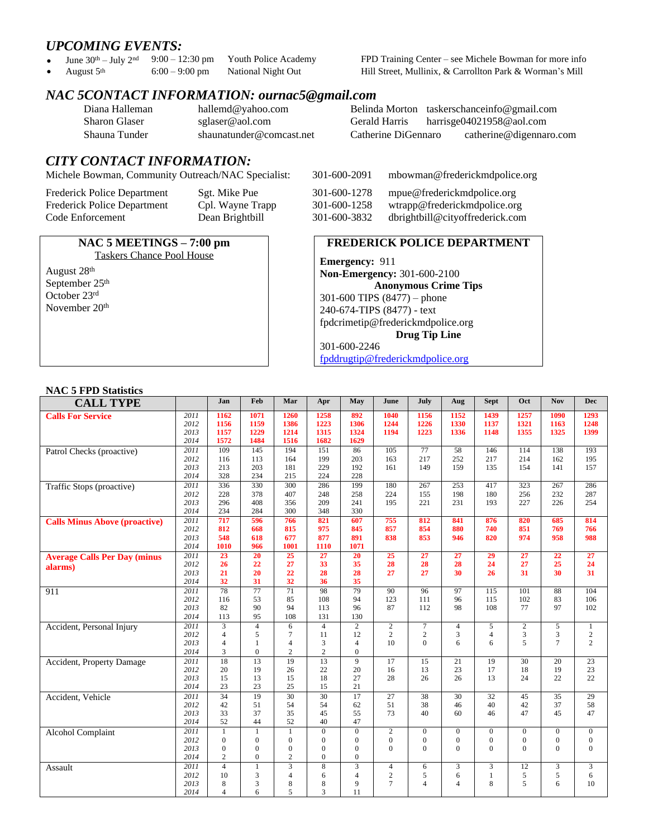*UPCOMING EVENTS:*<br>• June 30<sup>th</sup> – July 2<sup>nd</sup> 9:00 – 12:30 pm

June  $30^{\text{th}}$  – July  $2^{\text{nd}}$  9:00 – 12:30 pm Youth Police Academy FPD Training Center – see Michele Bowman for more info August  $5^{\text{th}}$  6:00 – 9:00 pm National Night Out Hill Street, Mullinix, & Carrollton Park & Wo • August  $5<sup>th</sup>$  6:00 – 9:00 pm National Night Out Hill Street, Mullinix, & Carrollton Park & Worman's Mill

# *NAC 5CONTACT INFORMATION: ournac5@gmail.com*

| Diana Halleman |  |
|----------------|--|
| Sharon Glaser  |  |
| Shauna Tunder  |  |

[hallemd@yahoo.com](mailto:hallemd@yahoo.com) Belinda Morton [taskerschanceinfo@gmail.com](mailto:taskerschanceinfo@gmail.com)<br>sglaser@aol.com Gerald Harris harrisge04021958@aol.com [harrisge04021958@aol.com](mailto:harrisge04021958@aol.com) shaunatunder@comcast.net Catherine DiGennaro catherine@digennaro.com

# *CITY CONTACT INFORMATION:*

Michele Bowman, Community Outreach/NAC Specialist: 301-600-2091 mbowman@frederickmdpolice.org

| <b>Frederick Police Department</b> |
|------------------------------------|
| <b>Frederick Police Department</b> |
| Code Enforcement                   |

#### **NAC 5 MEETINGS – 7:00 pm** Taskers Chance Pool House

August 28th September 25<sup>th</sup> October 23rd November 20th

# Sgt. Mike Pue 301-600-1278 mpue@frederickmdpolice.org

Cpl. Wayne Trapp 301-600-1258 wtrapp@frederickmdpolice.org<br>Dean Brightbill 301-600-3832 dbrightbill@cityoffrederick.com 301-600-3832 dbrightbill@cityoffrederick.com

#### **FREDERICK POLICE DEPARTMENT**

**Emergency:** 911 **Non-Emergency:** 301-600-2100 **Anonymous Crime Tips** 301-600 TIPS (8477) – phone 240-674-TIPS (8477) - text [fpdcrimetip@frederickmdpolice.org](mailto:fpdcrimetip@frederickmdpolice.org) **Drug Tip Line** 301-600-2246

[fpddrugtip@frederickmdpolice.org](mailto:fpddrugtip@frederickmdpolice.org)

#### **NAC 5 FPD Statistics**

| <b>CALL TYPE</b>                     |              | Jan                     | Feb             | Mar                              | Apr                 | May                        | June           | July            | Aug                     | <b>Sept</b>     | Oct             | <b>Nov</b>      | <b>Dec</b>      |
|--------------------------------------|--------------|-------------------------|-----------------|----------------------------------|---------------------|----------------------------|----------------|-----------------|-------------------------|-----------------|-----------------|-----------------|-----------------|
| <b>Calls For Service</b>             | 2011         | 1162                    | 1071            | 1260                             | 1258                | 892                        | 1040           | 1156            | 1152                    | 1439            | 1257            | <b>1090</b>     | 1293            |
|                                      | 2012         | 1156                    | 1159            | 1386                             | 1223                | 1306                       | 1244           | 1226            | 1330                    | 1137            | 1321            | 1163            | 1248            |
|                                      | 2013         | 1157                    | 1229            | 1214                             | 1315                | 1324                       | 1194           | 1223            | 1336                    | 1148            | 1355            | 1325            | 1399            |
|                                      | 2014         | 1572                    | 1484            | 1516                             | 1682                | 1629                       |                |                 |                         |                 |                 |                 |                 |
| Patrol Checks (proactive)            | 2011         | 109                     | 145             | 194                              | 151                 | 86                         | 105            | 77              | 58                      | 146             | 114             | 138             | 193             |
|                                      | 2012         | 116                     | 113             | 164                              | 199                 | 203                        | 163            | 217             | 252                     | 217             | 214             | 162             | 195             |
|                                      | 2013         | 213                     | 203             | 181                              | 229                 | 192                        | 161            | 149             | 159                     | 135             | 154             | 141             | 157             |
|                                      | 2014         | 328                     | 234             | 215                              | 224                 | 228                        |                |                 |                         |                 |                 |                 |                 |
| <b>Traffic Stops (proactive)</b>     | 2011         | 336                     | 330             | 300                              | 286                 | 199                        | 180            | 267             | 253                     | 417             | 323             | 267             | 286             |
|                                      | 2012         | 228                     | 378             | 407                              | 248                 | 258                        | 224            | 155             | 198                     | 180             | 256             | 232             | 287             |
|                                      | 2013         | 296                     | 408             | 356                              | 209                 | 241                        | 195            | 221             | 231                     | 193             | 227             | 226             | 254             |
|                                      | 2014         | 234                     | 284             | 300                              | 348                 | 330                        |                |                 |                         |                 |                 |                 |                 |
| <b>Calls Minus Above (proactive)</b> | 2011         | 717                     | 596             | 766                              | 821                 | 607                        | 755            | 812             | 841                     | 876             | 820             | 685             | 814             |
|                                      | 2012         | 812                     | 668             | 815                              | 975                 | 845                        | 857            | 854             | 880                     | 740             | 851             | 769             | 766             |
|                                      | 2013         | 548                     | 618             | 677                              | 877                 | 891                        | 838            | 853             | 946                     | 820             | 974             | 958             | 988             |
|                                      | 2014         | 1010                    | 966             | 1001                             | 1110                | 1071                       |                |                 |                         |                 |                 |                 |                 |
| <b>Average Calls Per Day (minus</b>  | 2011         | 23                      | 20              | 25                               | 27                  | 20                         | 25             | $\overline{27}$ | $\overline{27}$         | $\overline{29}$ | $\overline{27}$ | $\overline{22}$ | $\overline{27}$ |
| alarms)                              | 2012         | 26                      | 22              | 27                               | 33                  | 35                         | 28             | 28              | 28                      | 24              | 27              | 25              | 24              |
|                                      | 2013         | 21                      | 20              | 22                               | 28                  | 28                         | 27             | 27              | 30                      | 26              | 31              | 30              | 31              |
|                                      | 2014         | 32                      | 31              | 32                               | 36                  | 35                         |                |                 |                         |                 |                 |                 |                 |
| 911                                  | 2011         | 78                      | 77              | 71                               | 98                  | 79                         | 90             | 96              | 97                      | 115             | 101             | 88              | 104             |
|                                      | 2012         | 116                     | 53              | 85                               | 108                 | 94                         | 123            | 111             | 96                      | 115             | 102             | 83              | 106             |
|                                      | 2013         | 82                      | 90              | 94                               | 113                 | 96                         | 87             | 112             | 98                      | 108             | 77              | 97              | 102             |
|                                      | 2014         | 113                     | 95              | 108                              | 131                 | 130                        |                |                 |                         |                 |                 |                 |                 |
| Accident, Personal Injury            | 2011         | $\overline{\mathbf{3}}$ | $\overline{4}$  | 6                                | $\overline{4}$      | $\overline{c}$             | $\overline{2}$ | $\tau$          | 4                       | 5               | $\overline{c}$  | 5               | 1               |
|                                      | 2012         | $\overline{4}$          | 5               | $\overline{7}$                   | 11                  | 12                         | $\sqrt{2}$     | $\sqrt{2}$      | 3                       | $\overline{4}$  | 3               | 3               | $\sqrt{2}$      |
|                                      | 2013<br>2014 | $\overline{4}$          | 1               | $\overline{4}$<br>$\overline{2}$ | 3<br>$\overline{c}$ | $\overline{4}$<br>$\Omega$ | 10             | $\Omega$        | 6                       | 6               | 5               | $7\phantom{.0}$ | $\overline{2}$  |
|                                      |              | 3                       | $\overline{0}$  |                                  |                     |                            |                |                 |                         |                 |                 |                 |                 |
| Accident, Property Damage            | 2011         | $\overline{18}$         | $\overline{13}$ | 19                               | 13                  | 9                          | 17             | 15              | $\overline{21}$         | 19              | $\overline{30}$ | 20              | $\overline{23}$ |
|                                      | 2012         | 20                      | 19<br>13        | 26                               | 22<br>18            | 20<br>27                   | 16             | 13              | 23                      | 17<br>13        | 18              | 19              | 23<br>22        |
|                                      | 2013<br>2014 | 15<br>23                | 23              | 15<br>25                         | 15                  | 21                         | 28             | 26              | 26                      |                 | 24              | 22              |                 |
|                                      |              | 34                      | 19              |                                  |                     |                            |                |                 | 30                      |                 |                 |                 |                 |
| Accident, Vehicle                    | 2011<br>2012 | 42                      | 51              | 30<br>54                         | 30<br>54            | 17<br>62                   | 27<br>51       | 38<br>38        | 46                      | 32<br>40        | 45<br>42        | 35<br>37        | 29<br>58        |
|                                      | 2013         | 33                      | 37              | 35                               | 45                  | 55                         | 73             | 40              | 60                      | 46              | 47              | 45              | 47              |
|                                      | 2014         | 52                      | 44              | 52                               | 40                  | 47                         |                |                 |                         |                 |                 |                 |                 |
|                                      | 2011         | $\mathbf{1}$            | $\mathbf{1}$    | 1                                | $\mathbf{0}$        | $\overline{0}$             | $\overline{2}$ | $\overline{0}$  | $\mathbf{0}$            | $\mathbf{0}$    | $\overline{0}$  | $\overline{0}$  | $\overline{0}$  |
| <b>Alcohol Complaint</b>             | 2012         | $\mathbf{0}$            | $\overline{0}$  | $\mathbf{0}$                     | $\mathbf{0}$        | $\overline{0}$             | $\mathbf{0}$   | $\overline{0}$  | $\overline{0}$          | $\mathbf{0}$    | $\mathbf{0}$    | $\mathbf{0}$    | $\overline{0}$  |
|                                      | 2013         | $\mathbf{0}$            | $\overline{0}$  | $\mathbf{0}$                     | $\mathbf{0}$        | $\overline{0}$             | $\mathbf{0}$   | $\Omega$        | $\theta$                | $\mathbf{0}$    | $\overline{0}$  | $\mathbf{0}$    | $\mathbf{0}$    |
|                                      | 2014         | $\overline{c}$          | $\mathbf{0}$    | $\overline{c}$                   | $\Omega$            | $\Omega$                   |                |                 |                         |                 |                 |                 |                 |
|                                      | 2011         | $\overline{4}$          | $\mathbf{1}$    | $\overline{3}$                   | 8                   | 3                          | $\overline{4}$ | 6               | 3                       | $\mathfrak{Z}$  | 12              | 3               | $\mathfrak{Z}$  |
| Assault                              | 2012         | 10                      | 3               | $\overline{4}$                   | 6                   | $\overline{4}$             | $\overline{c}$ | 5               | 6                       | $\mathbf{1}$    | 5               | 5               | 6               |
|                                      |              |                         |                 |                                  |                     |                            |                |                 |                         |                 |                 |                 |                 |
|                                      |              |                         |                 |                                  |                     |                            |                |                 |                         |                 |                 |                 |                 |
|                                      | 2013<br>2014 | 8<br>$\overline{4}$     | 3<br>6          | 8<br>5                           | 8<br>3              | 9<br>11                    | $\overline{7}$ | $\overline{4}$  | $\overline{\mathbf{4}}$ | 8               | 5               | 6               | 10              |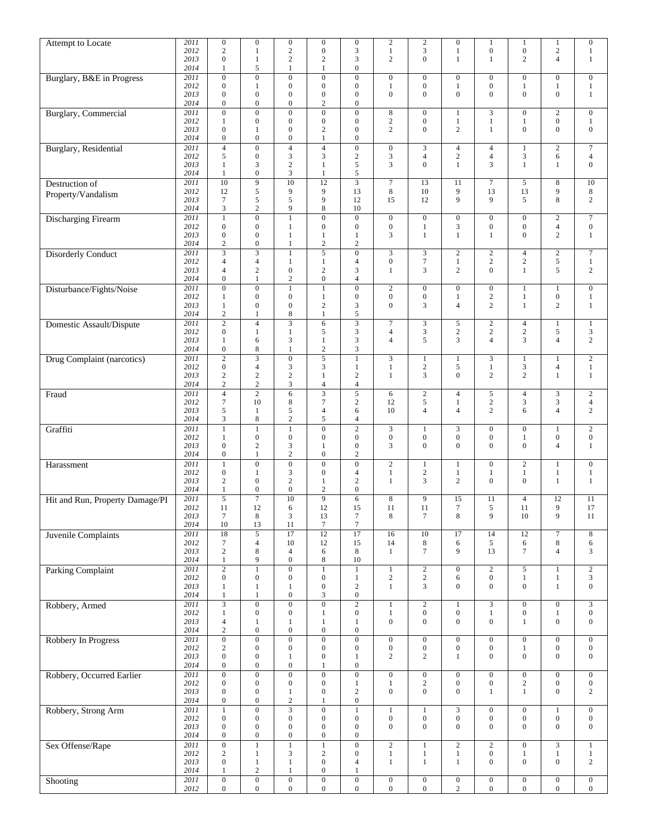| Attempt to Locate               | 2011         | $\boldsymbol{0}$                     | $\boldsymbol{0}$                     | $\boldsymbol{0}$                     | $\boldsymbol{0}$                     | $\boldsymbol{0}$                     | $\sqrt{2}$                           | $\sqrt{2}$                         | $\boldsymbol{0}$                 | $\mathbf{1}$                       | $\mathbf{1}$                         | $\mathbf{1}$                         | $\boldsymbol{0}$                     |
|---------------------------------|--------------|--------------------------------------|--------------------------------------|--------------------------------------|--------------------------------------|--------------------------------------|--------------------------------------|------------------------------------|----------------------------------|------------------------------------|--------------------------------------|--------------------------------------|--------------------------------------|
|                                 | 2012         | $\mathbf{2}$                         | $\mathbf{1}$                         | $\overline{c}$                       | $\boldsymbol{0}$                     | $\mathfrak{Z}$                       | $\mathbf{1}$                         | 3                                  | $\mathbf{1}$                     | $\boldsymbol{0}$                   | $\boldsymbol{0}$                     | $\sqrt{2}$                           | $\mathbf{1}$                         |
|                                 | 2013         | $\boldsymbol{0}$                     | $\mathbf{1}$                         | $\overline{c}$                       | 2                                    | 3                                    | $\overline{c}$                       | $\overline{0}$                     | $\mathbf{1}$                     | $\mathbf{1}$                       | $\overline{2}$                       | $\overline{4}$                       | $\mathbf{1}$                         |
|                                 | 2014         | 1                                    | $\sqrt{5}$                           | 1                                    | 1                                    | $\boldsymbol{0}$                     |                                      |                                    |                                  |                                    |                                      |                                      |                                      |
| Burglary, B&E in Progress       | 2011         | $\overline{0}$                       | $\overline{0}$                       | $\overline{0}$                       | $\overline{0}$                       | $\overline{0}$                       | $\overline{0}$                       | $\boldsymbol{0}$                   | $\boldsymbol{0}$                 | $\mathbf{0}$                       | $\boldsymbol{0}$                     | $\overline{0}$                       | $\boldsymbol{0}$                     |
|                                 | 2012<br>2013 | $\boldsymbol{0}$<br>$\boldsymbol{0}$ | $\mathbf{1}$<br>$\boldsymbol{0}$     | $\boldsymbol{0}$<br>$\boldsymbol{0}$ | $\boldsymbol{0}$<br>$\boldsymbol{0}$ | $\boldsymbol{0}$<br>$\mathbf{0}$     | $\mathbf{1}$<br>$\boldsymbol{0}$     | $\boldsymbol{0}$<br>$\mathbf{0}$   | 1<br>$\overline{0}$              | $\mathbf{0}$<br>$\overline{0}$     | $\mathbf{1}$<br>$\mathbf{0}$         | $\mathbf{1}$<br>$\mathbf{0}$         | $\mathbf{1}$<br>$\mathbf{1}$         |
|                                 | 2014         | $\boldsymbol{0}$                     | $\boldsymbol{0}$                     | $\boldsymbol{0}$                     | 2                                    | $\boldsymbol{0}$                     |                                      |                                    |                                  |                                    |                                      |                                      |                                      |
| <b>Burglary</b> , Commercial    | 2011         | $\overline{0}$                       | $\overline{0}$                       | $\boldsymbol{0}$                     | $\boldsymbol{0}$                     | $\boldsymbol{0}$                     | $\,$ 8 $\,$                          | $\boldsymbol{0}$                   | 1                                | 3                                  | $\boldsymbol{0}$                     | $\overline{2}$                       | $\boldsymbol{0}$                     |
|                                 | 2012         | $\mathbf{1}$                         | $\boldsymbol{0}$                     | $\boldsymbol{0}$                     | $\boldsymbol{0}$                     | $\boldsymbol{0}$                     | $\sqrt{2}$                           | $\boldsymbol{0}$                   | $\mathbf{1}$                     | $\mathbf{1}$                       | $\mathbf{1}$                         | $\boldsymbol{0}$                     | $\mathbf{1}$                         |
|                                 | 2013         | $\boldsymbol{0}$                     | 1                                    | $\boldsymbol{0}$                     | 2                                    | $\boldsymbol{0}$                     | $\overline{c}$                       | $\boldsymbol{0}$                   | $\overline{2}$                   | $\mathbf{1}$                       | $\mathbf{0}$                         | $\mathbf{0}$                         | $\boldsymbol{0}$                     |
|                                 | 2014         | $\boldsymbol{0}$                     | $\boldsymbol{0}$                     | $\boldsymbol{0}$                     | $\mathbf{1}$                         | $\boldsymbol{0}$                     |                                      |                                    |                                  |                                    |                                      |                                      |                                      |
| Burglary, Residential           | 2011         | $\overline{4}$                       | $\overline{0}$                       | $\overline{4}$                       | $\overline{4}$                       | $\overline{0}$                       | $\boldsymbol{0}$                     | 3                                  | $\overline{4}$                   | $\overline{4}$                     | $\mathbf{1}$                         | $\overline{c}$                       | $\boldsymbol{7}$                     |
|                                 | 2012         | 5                                    | $\boldsymbol{0}$                     | 3                                    | 3                                    | $\sqrt{2}$                           | $\mathfrak{Z}$                       | $\overline{4}$                     | $\boldsymbol{2}$                 | $\overline{4}$                     | 3                                    | 6                                    | $\overline{4}$                       |
|                                 | 2013         | $\mathbf{1}$                         | 3                                    | $\overline{c}$                       | 1                                    | 5                                    | 3                                    | $\overline{0}$                     | 1                                | 3                                  | $\mathbf{1}$                         | $\mathbf{1}$                         | $\boldsymbol{0}$                     |
|                                 | 2014         | $\mathbf{1}$                         | $\boldsymbol{0}$                     | 3                                    | 1                                    | 5                                    |                                      |                                    |                                  |                                    |                                      |                                      |                                      |
| Destruction of                  | 2011         | $\overline{10}$                      | $\overline{9}$                       | $\overline{10}$                      | $\overline{12}$                      |                                      | $\overline{7}$                       | 13                                 | 11                               | $\overline{7}$                     | 5                                    | 8                                    | $\overline{10}$                      |
| Property/Vandalism              | 2012         | 12                                   | 5                                    | 9                                    | 9                                    | 13                                   | $\,$ 8 $\,$                          | 10                                 | 9                                | 13                                 | 13                                   | 9                                    | 8                                    |
|                                 | 2013         | $\boldsymbol{7}$                     | 5                                    | 5                                    | 9                                    | 12                                   | 15                                   | 12                                 | 9                                | 9                                  | 5                                    | 8                                    | $\sqrt{2}$                           |
|                                 | 2014         | 3                                    | $\overline{c}$                       | 9                                    | 8                                    | 10                                   |                                      |                                    |                                  |                                    |                                      |                                      |                                      |
| Discharging Firearm             | 2011<br>2012 | $\mathbf{1}$<br>$\mathbf{0}$         | $\boldsymbol{0}$<br>$\boldsymbol{0}$ | $\mathbf{1}$                         | $\boldsymbol{0}$<br>$\boldsymbol{0}$ | $\boldsymbol{0}$<br>$\mathbf{0}$     | $\boldsymbol{0}$<br>$\boldsymbol{0}$ | $\mathbf{0}$                       | $\boldsymbol{0}$<br>3            | $\mathbf{0}$<br>$\overline{0}$     | $\boldsymbol{0}$<br>$\boldsymbol{0}$ | $\overline{c}$<br>$\overline{4}$     | $\overline{7}$<br>$\boldsymbol{0}$   |
|                                 | 2013         | $\boldsymbol{0}$                     | $\boldsymbol{0}$                     | 1<br>1                               | 1                                    | 1                                    | 3                                    | $\mathbf{1}$<br>$\mathbf{1}$       | $\mathbf{1}$                     | $\mathbf{1}$                       | $\mathbf{0}$                         | $\sqrt{2}$                           | $\mathbf{1}$                         |
|                                 | 2014         | $\mathfrak{2}$                       | $\boldsymbol{0}$                     | $\mathbf{1}$                         | $\overline{c}$                       | $\overline{2}$                       |                                      |                                    |                                  |                                    |                                      |                                      |                                      |
| <b>Disorderly Conduct</b>       | 2011         | 3                                    | 3                                    | $\mathbf{1}$                         | 5                                    | $\boldsymbol{0}$                     | $\overline{3}$                       | 3                                  | $\overline{c}$                   | $\overline{c}$                     | $\overline{4}$                       | $\mathbf{2}$                         | $\overline{7}$                       |
|                                 | 2012         | $\overline{4}$                       | $\overline{4}$                       | 1                                    | 1                                    | $\overline{4}$                       | $\boldsymbol{0}$                     | $\boldsymbol{7}$                   | $\mathbf{1}$                     | $\overline{c}$                     | $\sqrt{2}$                           | 5                                    | $\mathbf{1}$                         |
|                                 | 2013         | $\overline{4}$                       | $\sqrt{2}$                           | $\boldsymbol{0}$                     | $\boldsymbol{2}$                     | $\mathfrak{Z}$                       | $\mathbf{1}$                         | 3                                  | $\overline{2}$                   | $\overline{0}$                     | $\mathbf{1}$                         | 5                                    | 2                                    |
|                                 | 2014         | $\boldsymbol{0}$                     | $\mathbf{1}$                         | $\mathbf{2}$                         | $\boldsymbol{0}$                     | $\overline{4}$                       |                                      |                                    |                                  |                                    |                                      |                                      |                                      |
| Disturbance/Fights/Noise        | 2011         | $\overline{0}$                       | $\overline{0}$                       | $\mathbf{1}$                         | $\mathbf{1}$                         | $\mathbf{0}$                         | $\overline{2}$                       | $\boldsymbol{0}$                   | $\boldsymbol{0}$                 | $\mathbf{0}$                       | $\mathbf{1}$                         | $\mathbf{1}$                         | $\mathbf{0}$                         |
|                                 | 2012         | 1                                    | $\boldsymbol{0}$                     | $\boldsymbol{0}$                     | $\mathbf{1}$                         | $\boldsymbol{0}$                     | $\boldsymbol{0}$                     | $\boldsymbol{0}$                   | 1                                | $\overline{c}$                     | $\mathbf{1}$                         | $\boldsymbol{0}$                     | $\mathbf{1}$                         |
|                                 | 2013         | $\mathbf{1}$                         | $\boldsymbol{0}$                     | $\boldsymbol{0}$                     | $\overline{c}$                       | 3                                    | $\boldsymbol{0}$                     | 3                                  | $\overline{4}$                   | $\overline{c}$                     | $\mathbf{1}$                         | $\overline{c}$                       | $\mathbf{1}$                         |
|                                 | 2014         | $\sqrt{2}$                           | $\mathbf{1}$                         | 8                                    | $\mathbf{1}$                         | $\sqrt{5}$                           |                                      |                                    |                                  |                                    |                                      |                                      |                                      |
| Domestic Assault/Dispute        | 2011         | $\overline{c}$                       | $\overline{4}$                       | 3                                    | 6                                    | $\mathfrak z$                        | $\tau$                               | $\mathfrak{Z}$                     | 5                                | $\overline{c}$                     | $\overline{4}$                       | $\mathbf{1}$                         | $\,1$                                |
|                                 | 2012         | $\mathbf{0}$                         | $\mathbf{1}$                         | $\mathbf{1}$                         | 5                                    | 3                                    | $\overline{4}$                       | $\mathfrak{Z}$                     | $\boldsymbol{2}$                 | $\overline{c}$                     | $\sqrt{2}$                           | 5                                    | 3                                    |
|                                 | 2013         | $\mathbf{1}$                         | 6                                    | 3                                    | $\mathbf{1}$                         | $\mathfrak{Z}$                       | $\overline{4}$                       | 5                                  | 3                                | $\overline{4}$                     | 3                                    | $\overline{4}$                       | $\overline{c}$                       |
|                                 | 2014         | $\boldsymbol{0}$                     | 8                                    | $\mathbf{1}$                         | $\overline{c}$                       | 3                                    |                                      |                                    |                                  |                                    |                                      |                                      |                                      |
| Drug Complaint (narcotics)      | 2011         | $\overline{2}$                       | $\overline{3}$                       | $\overline{0}$                       | $\overline{5}$                       | $\overline{1}$                       | $\overline{3}$                       | $\,1\,$                            | $\mathbf{1}$                     | $\overline{\mathbf{3}}$            | $\mathbf{1}$                         | $\mathbf{1}$                         | $\overline{2}$                       |
|                                 | 2012         | $\boldsymbol{0}$                     | $\overline{4}$                       | 3                                    | 3                                    | $\mathbf{1}$                         | $\mathbf{1}$                         | $\sqrt{2}$                         | 5                                | $\mathbf{1}$                       | $\mathfrak{Z}$                       | $\overline{4}$                       | $\mathbf{1}$                         |
|                                 | 2013<br>2014 | $\sqrt{2}$<br>$\sqrt{2}$             | $\sqrt{2}$<br>$\sqrt{2}$             | $\overline{c}$<br>3                  | 1<br>4                               | $\sqrt{2}$<br>$\overline{4}$         | $\mathbf{1}$                         | 3                                  | $\boldsymbol{0}$                 | $\overline{c}$                     | $\mathbf{2}$                         | $\mathbf{1}$                         | $1\,$                                |
|                                 | 2011         | $\overline{4}$                       | $\overline{c}$                       | 6                                    | 3                                    | $\overline{5}$                       | 6                                    | $\sqrt{2}$                         | $\overline{4}$                   | 5                                  | $\overline{4}$                       | 3                                    | $\sqrt{2}$                           |
| Fraud                           | 2012         | $7\phantom{.0}$                      | 10                                   | 8                                    | 7                                    | $\sqrt{2}$                           | 12                                   | 5                                  | $\mathbf{1}$                     | $\overline{c}$                     | 3                                    | $\mathfrak{Z}$                       | $\overline{4}$                       |
|                                 | 2013         | 5                                    | 1                                    | 5                                    | 4                                    | 6                                    | 10                                   | $\overline{4}$                     | $\overline{4}$                   | $\overline{2}$                     | 6                                    | $\overline{4}$                       | $\sqrt{2}$                           |
|                                 | 2014         | 3                                    | 8                                    | $\overline{c}$                       | 5                                    | 4                                    |                                      |                                    |                                  |                                    |                                      |                                      |                                      |
| Graffiti                        | 2011         | $\mathbf{1}$                         | $\mathbf{1}$                         | $\mathbf{1}$                         | $\overline{0}$                       | $\overline{2}$                       | $\mathfrak{Z}$                       | $\mathbf{1}$                       | 3                                | $\mathbf{0}$                       | $\boldsymbol{0}$                     | $\mathbf{1}$                         | $\overline{2}$                       |
|                                 | 2012         | $\mathbf{1}$                         | $\boldsymbol{0}$                     | $\boldsymbol{0}$                     | $\overline{0}$                       | $\mathbf{0}$                         | $\boldsymbol{0}$                     | $\boldsymbol{0}$                   | $\boldsymbol{0}$                 | $\overline{0}$                     | $\mathbf{1}$                         | $\boldsymbol{0}$                     | $\boldsymbol{0}$                     |
|                                 | 2013         | $\boldsymbol{0}$                     | $\sqrt{2}$                           | 3                                    | 1                                    | $\boldsymbol{0}$                     | 3                                    | $\boldsymbol{0}$                   | 0                                | $\overline{0}$                     | $\mathbf{0}$                         | 4                                    | $\mathbf{1}$                         |
|                                 | 2014         | $\boldsymbol{0}$                     | $\mathbf{1}$                         | $\overline{c}$                       | $\boldsymbol{0}$                     | $\sqrt{2}$                           |                                      |                                    |                                  |                                    |                                      |                                      |                                      |
| Harassment                      | 2011         | $\mathbf{1}$                         | $\boldsymbol{0}$                     | $\boldsymbol{0}$                     | $\boldsymbol{0}$                     | $\boldsymbol{0}$                     | $\sqrt{2}$                           | $\mathbf{1}$                       | $\mathbf{1}$                     | $\mathbf{0}$                       | $\sqrt{2}$                           | $\mathbf{1}$                         | $\mathbf{0}$                         |
|                                 | 2012         | $\boldsymbol{0}$                     | $\mathbf{1}$                         | 3                                    | $\boldsymbol{0}$                     | $\overline{4}$                       | $\mathbf{1}$                         | $\sqrt{2}$                         | $\mathbf{1}$                     | $\mathbf{1}$                       | $\mathbf{1}$                         | $\mathbf{1}$                         | $\mathbf{1}$                         |
|                                 | 2013         | $\boldsymbol{2}$                     | $\boldsymbol{0}$                     | $\overline{c}$                       | 1                                    | $\overline{c}$                       | $\mathbf{1}$                         | 3                                  | $\overline{c}$                   | $\overline{0}$                     | $\mathbf{0}$                         | $\mathbf{1}$                         | $\mathbf{1}$                         |
|                                 | 2014         | $\mathbf{1}$                         | $\boldsymbol{0}$                     | $\boldsymbol{0}$                     | 2                                    | $\boldsymbol{0}$                     |                                      |                                    |                                  |                                    |                                      |                                      |                                      |
| Hit and Run, Property Damage/PI | 2011         | $\overline{5}$                       | 7                                    | $\overline{10}$                      | 9                                    | 6                                    | $\,$ 8 $\,$                          | 9                                  | 15                               | 11                                 | $\overline{4}$                       | 12                                   | 11                                   |
|                                 | 2012         | 11                                   | 12                                   | 6                                    | 12                                   | 15                                   | 11                                   | 11                                 | 7                                | 5                                  | 11                                   | 9                                    | 17                                   |
|                                 | 2013<br>2014 | $\boldsymbol{7}$<br>$10\,$           | $\,8\,$<br>13                        | 3<br>$11\,$                          | 13<br>$\boldsymbol{7}$               | $\boldsymbol{7}$<br>$\boldsymbol{7}$ | $\,8\,$                              | $\boldsymbol{7}$                   | 8                                | 9                                  | 10                                   | 9                                    | 11                                   |
|                                 | 2011         | 18                                   |                                      | 17                                   | $\overline{12}$                      | 17                                   |                                      | 10                                 | 17                               | 14                                 | 12                                   |                                      |                                      |
| Juvenile Complaints             | 2012         | $\tau$                               | $\sqrt{5}$<br>$\overline{4}$         | 10                                   | 12                                   | 15                                   | 16<br>14                             | 8                                  | 6                                | 5                                  | 6                                    | $\overline{7}$<br>$\,$ 8 $\,$        | 8<br>$\sqrt{6}$                      |
|                                 | 2013         | $\sqrt{2}$                           | 8                                    | $\overline{4}$                       | 6                                    | 8                                    | $\mathbf{1}$                         | $\tau$                             | 9                                | 13                                 | $\tau$                               | $\overline{\mathcal{L}}$             | $\mathfrak{Z}$                       |
|                                 | 2014         | $\,1$                                | 9                                    | $\boldsymbol{0}$                     | 8                                    | $10\,$                               |                                      |                                    |                                  |                                    |                                      |                                      |                                      |
| <b>Parking Complaint</b>        | 2011         | $\overline{2}$                       | $\overline{1}$                       | $\overline{0}$                       | $\,1$                                | $\mathbf{1}$                         | $\,1$                                | $\sqrt{2}$                         | $\boldsymbol{0}$                 | $\overline{2}$                     | $\overline{5}$                       | $\mathbf{1}$                         | $\overline{2}$                       |
|                                 | 2012         | $\boldsymbol{0}$                     | $\boldsymbol{0}$                     | $\boldsymbol{0}$                     | $\boldsymbol{0}$                     | $\mathbf{1}$                         | $\sqrt{2}$                           | $\,2$                              | 6                                | $\boldsymbol{0}$                   | $\mathbf{1}$                         | $\mathbf{1}$                         | $\sqrt{3}$                           |
|                                 | 2013         | $\mathbf{1}$                         | $\mathbf{1}$                         | $\mathbf{1}$                         | $\boldsymbol{0}$                     | $\sqrt{2}$                           | $\,1$                                | $\overline{3}$                     | $\boldsymbol{0}$                 | $\overline{0}$                     | $\boldsymbol{0}$                     | $\mathbf{1}$                         | $\boldsymbol{0}$                     |
|                                 | 2014         | $\,1$                                | $\mathbf{1}$                         | $\boldsymbol{0}$                     | 3                                    | $\boldsymbol{0}$                     |                                      |                                    |                                  |                                    |                                      |                                      |                                      |
| Robbery, Armed                  | 2011         | $\overline{3}$                       | $\overline{0}$                       | $\overline{0}$                       | $\overline{0}$                       | $\overline{2}$                       | $\mathbf{1}$                         | $\overline{2}$                     | $\mathbf{1}$                     | $\overline{3}$                     | $\overline{0}$                       | $\overline{0}$                       | $\mathfrak{Z}$                       |
|                                 | 2012         | $\mathbf{1}$                         | $\boldsymbol{0}$                     | $\boldsymbol{0}$                     | $\mathbf{1}$                         | $\boldsymbol{0}$                     | $\mathbf{1}$                         | $\boldsymbol{0}$                   | $\boldsymbol{0}$                 | $\mathbf{1}$                       | $\boldsymbol{0}$                     | $\mathbf{1}$                         | $\boldsymbol{0}$                     |
|                                 | 2013         | $\sqrt{4}$                           | $\mathbf{1}$                         | $\mathbf{1}$                         | $\mathbf{1}$                         | $\mathbf{1}$                         | $\boldsymbol{0}$                     | $\mathbf{0}$                       | $\boldsymbol{0}$                 | $\overline{0}$                     | $\mathbf{1}$                         | $\boldsymbol{0}$                     | $\boldsymbol{0}$                     |
|                                 | 2014         | $\sqrt{2}$                           | $\boldsymbol{0}$                     | $\boldsymbol{0}$                     | $\boldsymbol{0}$                     | $\boldsymbol{0}$                     |                                      |                                    |                                  |                                    |                                      |                                      |                                      |
| Robbery In Progress             | 2011         | $\overline{0}$                       | $\overline{0}$                       | $\overline{0}$                       | $\overline{0}$                       | $\overline{0}$                       | $\overline{0}$                       | $\overline{0}$                     | $\overline{0}$                   | $\overline{0}$                     | $\overline{0}$                       | $\overline{0}$                       | $\boldsymbol{0}$                     |
|                                 | 2012<br>2013 | $\sqrt{2}$<br>$\boldsymbol{0}$       | $\boldsymbol{0}$<br>$\boldsymbol{0}$ | $\boldsymbol{0}$<br>$\mathbf{1}$     | $\boldsymbol{0}$<br>$\boldsymbol{0}$ | $\boldsymbol{0}$<br>$\mathbf{1}$     | $\boldsymbol{0}$<br>$\sqrt{2}$       | $\boldsymbol{0}$<br>$\overline{c}$ | $\boldsymbol{0}$<br>$\mathbf{1}$ | $\boldsymbol{0}$<br>$\overline{0}$ | $\mathbf{1}$<br>$\boldsymbol{0}$     | $\boldsymbol{0}$<br>$\boldsymbol{0}$ | $\boldsymbol{0}$<br>$\boldsymbol{0}$ |
|                                 | 2014         | $\boldsymbol{0}$                     | $\boldsymbol{0}$                     | $\boldsymbol{0}$                     | $\mathbf{1}$                         | $\boldsymbol{0}$                     |                                      |                                    |                                  |                                    |                                      |                                      |                                      |
| Robbery, Occurred Earlier       | 2011         | $\overline{0}$                       | $\overline{0}$                       | $\overline{0}$                       | $\overline{0}$                       | $\overline{0}$                       | $\boldsymbol{0}$                     | $\boldsymbol{0}$                   | $\overline{0}$                   | $\overline{0}$                     | $\overline{0}$                       | $\overline{0}$                       | $\boldsymbol{0}$                     |
|                                 | 2012         | $\boldsymbol{0}$                     | $\boldsymbol{0}$                     | $\boldsymbol{0}$                     | $\boldsymbol{0}$                     | $\mathbf{1}$                         | $\mathbf{1}$                         | $\sqrt{2}$                         | $\boldsymbol{0}$                 | $\boldsymbol{0}$                   | $\sqrt{2}$                           | $\boldsymbol{0}$                     | $\boldsymbol{0}$                     |
|                                 | 2013         | $\boldsymbol{0}$                     | $\boldsymbol{0}$                     | $\mathbf{1}$                         | $\boldsymbol{0}$                     | $\sqrt{2}$                           | $\boldsymbol{0}$                     | $\boldsymbol{0}$                   | $\boldsymbol{0}$                 | $\mathbf{1}$                       | $\mathbf{1}$                         | $\boldsymbol{0}$                     | $\sqrt{2}$                           |
|                                 | 2014         | $\boldsymbol{0}$                     | $\boldsymbol{0}$                     | $\sqrt{2}$                           | $\mathbf{1}$                         | $\boldsymbol{0}$                     |                                      |                                    |                                  |                                    |                                      |                                      |                                      |
| Robbery, Strong Arm             | 2011         | $\,1$                                | $\overline{0}$                       | $\overline{3}$                       | $\overline{0}$                       | $\mathbf{1}$                         | $\mathbf{1}$                         | $\mathbf{1}$                       | $\overline{3}$                   | $\boldsymbol{0}$                   | $\boldsymbol{0}$                     | $\mathbf{1}$                         | $\boldsymbol{0}$                     |
|                                 | 2012         | $\boldsymbol{0}$                     | $\boldsymbol{0}$                     | $\boldsymbol{0}$                     | $\boldsymbol{0}$                     | $\boldsymbol{0}$                     | $\boldsymbol{0}$                     | $\boldsymbol{0}$                   | $\boldsymbol{0}$                 | $\boldsymbol{0}$                   | $\boldsymbol{0}$                     | $\boldsymbol{0}$                     | $\boldsymbol{0}$                     |
|                                 | 2013         | $\boldsymbol{0}$                     | $\boldsymbol{0}$                     | $\boldsymbol{0}$                     | $\boldsymbol{0}$                     | $\mathbf{0}$                         | $\boldsymbol{0}$                     | $\boldsymbol{0}$                   | $\boldsymbol{0}$                 | $\overline{0}$                     | $\mathbf{0}$                         | $\boldsymbol{0}$                     | $\boldsymbol{0}$                     |
|                                 | 2014         | $\boldsymbol{0}$                     | $\boldsymbol{0}$                     | $\boldsymbol{0}$                     | $\boldsymbol{0}$                     | $\boldsymbol{0}$                     |                                      |                                    |                                  |                                    |                                      |                                      |                                      |
| Sex Offense/Rape                | 2011         | $\overline{0}$                       | $\,1$                                | $\,1$                                | $\mathbf{1}$                         | $\overline{0}$                       | $\overline{2}$                       | $\mathbf{1}$                       | $\overline{2}$                   | $\overline{2}$                     | $\boldsymbol{0}$                     | $\overline{3}$                       | $1\,$                                |
|                                 | 2012         | $\sqrt{2}$                           | $\mathbf{1}$                         | $\mathfrak{Z}$                       | $\overline{c}$                       | $\boldsymbol{0}$                     | $\,1$                                | $1\,$                              | $\mathbf{1}$                     | $\boldsymbol{0}$                   | $\mathbf{1}$                         | $\,1$                                | $\mathbf{1}$                         |
|                                 | 2013         | $\boldsymbol{0}$                     | $\mathbf{1}$                         | $\mathbf{1}$                         | $\boldsymbol{0}$                     | $\overline{4}$                       | $\mathbf{1}$                         | $\mathbf{1}$                       | $\mathbf{1}$                     | $\overline{0}$                     | $\boldsymbol{0}$                     | $\boldsymbol{0}$                     | $\overline{c}$                       |
|                                 | 2014         | $\mathbf{1}$                         | $\sqrt{2}$                           | $\mathbf{1}$                         | $\boldsymbol{0}$                     | $\mathbf{1}$                         |                                      |                                    |                                  |                                    |                                      |                                      |                                      |
| Shooting                        | 2011         | $\overline{0}$                       | $\overline{0}$                       | $\boldsymbol{0}$                     | $\boldsymbol{0}$                     | $\boldsymbol{0}$                     | $\overline{0}$                       | $\boldsymbol{0}$                   | $\boldsymbol{0}$                 | $\boldsymbol{0}$                   | $\boldsymbol{0}$                     | $\boldsymbol{0}$                     | $\boldsymbol{0}$                     |
|                                 | 2012         | $\boldsymbol{0}$                     | $\boldsymbol{0}$                     | $\boldsymbol{0}$                     | $\boldsymbol{0}$                     | $\boldsymbol{0}$                     | $\boldsymbol{0}$                     | $\boldsymbol{0}$                   | $\overline{c}$                   | $\boldsymbol{0}$                   | $\boldsymbol{0}$                     | $\boldsymbol{0}$                     | $\boldsymbol{0}$                     |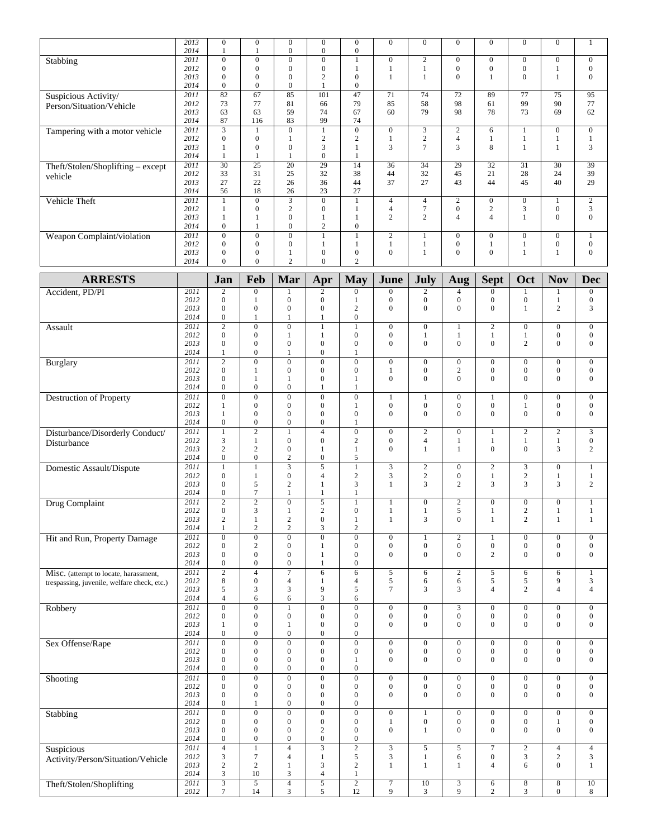|                                             | 2013 | $\mathbf{0}$            | $\boldsymbol{0}$ | $\mathbf{0}$            | $\overline{0}$   | $\boldsymbol{0}$ | $\boldsymbol{0}$ | $\boldsymbol{0}$ | $\boldsymbol{0}$ | $\mathbf{0}$     | $\boldsymbol{0}$ | $\boldsymbol{0}$ | $\mathbf{1}$     |
|---------------------------------------------|------|-------------------------|------------------|-------------------------|------------------|------------------|------------------|------------------|------------------|------------------|------------------|------------------|------------------|
|                                             | 2014 | $\mathbf{1}$            | 1                | $\boldsymbol{0}$        | $\boldsymbol{0}$ | $\boldsymbol{0}$ |                  |                  |                  |                  |                  |                  |                  |
| Stabbing                                    | 2011 | $\mathbf{0}$            | $\overline{0}$   | $\overline{0}$          | $\overline{0}$   | $\mathbf{1}$     | $\boldsymbol{0}$ | $\sqrt{2}$       | $\overline{0}$   | $\overline{0}$   | $\mathbf{0}$     | $\overline{0}$   | $\boldsymbol{0}$ |
|                                             | 2012 | $\boldsymbol{0}$        | $\mathbf{0}$     | $\boldsymbol{0}$        | $\boldsymbol{0}$ | $\mathbf{1}$     | $\mathbf{1}$     | $\mathbf{1}$     | $\boldsymbol{0}$ | $\overline{0}$   | $\boldsymbol{0}$ | 1                | $\boldsymbol{0}$ |
|                                             | 2013 | $\mathbf{0}$            | $\mathbf{0}$     | $\mathbf{0}$            | $\mathbf{2}$     | $\boldsymbol{0}$ | $\mathbf{1}$     | $\mathbf{1}$     | $\mathbf{0}$     | 1                | $\mathbf{0}$     | $\mathbf{1}$     | $\boldsymbol{0}$ |
|                                             | 2014 | $\mathbf{0}$            | $\mathbf{0}$     | $\boldsymbol{0}$        | $\mathbf{1}$     | $\boldsymbol{0}$ |                  |                  |                  |                  |                  |                  |                  |
| Suspicious Activity/                        | 2011 | 82                      | 67               | 85                      | 101              | 47               | 71               | 74               | 72               | 89               | 77               | $\overline{75}$  | $\overline{95}$  |
|                                             | 2012 | 73                      | 77               | 81                      | 66               | 79               | 85               | 58               | 98               | 61               | 99               | 90               | 77               |
| Person/Situation/Vehicle                    |      |                         | 63               |                         | 74               | 67               | 60               | 79               | 98               | 78               | 73               | 69               | 62               |
|                                             | 2013 | 63                      |                  | 59                      |                  |                  |                  |                  |                  |                  |                  |                  |                  |
|                                             | 2014 | 87                      | 116              | 83                      | 99               | 74               |                  |                  |                  |                  |                  |                  |                  |
| Tampering with a motor vehicle              | 2011 | $\overline{\mathbf{3}}$ | $\mathbf{1}$     | $\overline{0}$          | $\mathbf{1}$     | $\boldsymbol{0}$ | $\overline{0}$   | $\mathfrak{Z}$   | $\overline{c}$   | 6                | $\mathbf{1}$     | $\overline{0}$   | $\boldsymbol{0}$ |
|                                             | 2012 | $\boldsymbol{0}$        | $\boldsymbol{0}$ | 1                       | $\overline{c}$   | $\boldsymbol{2}$ | $\mathbf{1}$     | $\sqrt{2}$       | $\overline{4}$   | 1                | $\mathbf{1}$     | 1                | $\mathbf{1}$     |
|                                             | 2013 | $\mathbf{1}$            | $\mathbf{0}$     | $\boldsymbol{0}$        | 3                | $\mathbf{1}$     | 3                | $\overline{7}$   | 3                | 8                | $\mathbf{1}$     | $\mathbf{1}$     | 3                |
|                                             | 2014 | $\mathbf{1}$            | $\mathbf{1}$     | 1                       | $\boldsymbol{0}$ | $\mathbf{1}$     |                  |                  |                  |                  |                  |                  |                  |
| Theft/Stolen/Shoplifting - except           | 2011 | $\overline{30}$         | $\overline{25}$  | $\overline{20}$         | $\overline{29}$  | 14               | $\overline{36}$  | $\overline{34}$  | 29               | 32               | 31               | $\overline{30}$  | $\overline{39}$  |
|                                             | 2012 | 33                      | 31               | 25                      | 32               | 38               | 44               | 32               | 45               | 21               | 28               | 24               | 39               |
| vehicle                                     | 2013 | 27                      | 22               | 26                      | 36               | 44               | 37               | 27               | 43               | 44               | 45               | 40               | 29               |
|                                             | 2014 | 56                      | 18               | 26                      | 23               | 27               |                  |                  |                  |                  |                  |                  |                  |
|                                             |      |                         |                  |                         |                  |                  |                  |                  |                  |                  |                  |                  |                  |
| Vehicle Theft                               | 2011 | $\mathbf{1}$            | $\overline{0}$   | $\overline{\mathbf{3}}$ | $\overline{0}$   | $\mathbf{1}$     | $\overline{4}$   | $\overline{4}$   | $\mathbf{2}$     | $\mathbf{0}$     | $\boldsymbol{0}$ | $\mathbf{1}$     | $\sqrt{2}$       |
|                                             | 2012 | $\mathbf{1}$            | $\mathbf{0}$     | $\overline{c}$          | $\mathbf{0}$     | $\mathbf{1}$     | $\overline{4}$   | $\tau$           | $\boldsymbol{0}$ | $\overline{c}$   | 3                | $\mathbf{0}$     | 3                |
|                                             | 2013 | $\mathbf{1}$            | 1                | $\boldsymbol{0}$        | 1                | $\mathbf{1}$     | $\overline{2}$   | $\overline{c}$   | $\overline{4}$   | $\overline{4}$   | $\mathbf{1}$     | $\mathbf{0}$     | $\mathbf{0}$     |
|                                             | 2014 | $\boldsymbol{0}$        | 1                | $\boldsymbol{0}$        | $\mathfrak{2}$   | $\boldsymbol{0}$ |                  |                  |                  |                  |                  |                  |                  |
| Weapon Complaint/violation                  | 2011 | $\overline{0}$          | $\overline{0}$   | $\overline{0}$          | $\mathbf{1}$     | $\mathbf{1}$     | $\overline{2}$   | $\mathbf{1}$     | $\overline{0}$   | $\mathbf{0}$     | $\boldsymbol{0}$ | $\overline{0}$   | $\mathbf{1}$     |
|                                             | 2012 | $\mathbf{0}$            | $\mathbf{0}$     | $\boldsymbol{0}$        | $\mathbf{1}$     | $\mathbf{1}$     | $\mathbf{1}$     | $\mathbf{1}$     | $\boldsymbol{0}$ | $\mathbf{1}$     | $\mathbf{1}$     | $\mathbf{0}$     | $\boldsymbol{0}$ |
|                                             | 2013 | $\boldsymbol{0}$        | $\mathbf{0}$     | 1                       | $\boldsymbol{0}$ | $\boldsymbol{0}$ | $\boldsymbol{0}$ | $\mathbf{1}$     | $\overline{0}$   | $\overline{0}$   | $\mathbf{1}$     | 1                | $\mathbf{0}$     |
|                                             | 2014 | $\mathbf{0}$            | $\overline{0}$   | $\overline{c}$          | $\overline{0}$   | $\overline{c}$   |                  |                  |                  |                  |                  |                  |                  |
|                                             |      |                         |                  |                         |                  |                  |                  |                  |                  |                  |                  |                  |                  |
| <b>ARRESTS</b>                              |      | Jan                     | Feb              | Mar                     | Apr              | <b>May</b>       | June             | July             | Aug              | <b>Sept</b>      | Oct              | <b>Nov</b>       | <b>Dec</b>       |
|                                             |      |                         |                  |                         |                  |                  |                  |                  |                  |                  |                  |                  |                  |
| Accident, PD/PI                             | 2011 | $\sqrt{2}$              | $\boldsymbol{0}$ |                         | $\sqrt{2}$       | $\boldsymbol{0}$ | $\boldsymbol{0}$ | $\overline{c}$   | 4                | $\boldsymbol{0}$ |                  | $\mathbf{1}$     | $\boldsymbol{0}$ |
|                                             | 2012 | $\boldsymbol{0}$        | $\mathbf{1}$     | $\mathbf{0}$            | $\mathbf{0}$     | $\mathbf{1}$     | $\mathbf{0}$     | $\boldsymbol{0}$ | $\boldsymbol{0}$ | $\boldsymbol{0}$ | $\boldsymbol{0}$ | $\mathbf{1}$     | $\boldsymbol{0}$ |
|                                             | 2013 | $\boldsymbol{0}$        | $\mathbf{0}$     | $\mathbf{0}$            | $\boldsymbol{0}$ | $\overline{c}$   | $\mathbf{0}$     | $\mathbf{0}$     | $\overline{0}$   | $\mathbf{0}$     | 1                | $\mathbf{2}$     | 3                |
|                                             | 2014 | $\boldsymbol{0}$        | $\mathbf{1}$     | $\mathbf{1}$            | $\mathbf{1}$     | $\mathbf{0}$     |                  |                  |                  |                  |                  |                  |                  |
| Assault                                     | 2011 | $\overline{2}$          | $\overline{0}$   | $\mathbf{0}$            | $\mathbf{1}$     | $\mathbf{1}$     | $\boldsymbol{0}$ | $\boldsymbol{0}$ | $\mathbf{1}$     | $\overline{2}$   | $\mathbf{0}$     | $\boldsymbol{0}$ | $\boldsymbol{0}$ |
|                                             | 2012 | $\boldsymbol{0}$        | $\boldsymbol{0}$ | 1                       | $\mathbf{1}$     | $\boldsymbol{0}$ | $\boldsymbol{0}$ | $\mathbf{1}$     | 1                | $\mathbf{1}$     | 1                | $\boldsymbol{0}$ | $\boldsymbol{0}$ |
|                                             | 2013 | $\boldsymbol{0}$        | $\boldsymbol{0}$ | $\mathbf{0}$            | $\boldsymbol{0}$ | $\boldsymbol{0}$ | $\mathbf{0}$     | $\mathbf{0}$     | $\mathbf{0}$     | $\overline{0}$   | 2                | $\boldsymbol{0}$ | $\boldsymbol{0}$ |
|                                             | 2014 | $\mathbf{1}$            | $\boldsymbol{0}$ | 1                       | $\boldsymbol{0}$ | 1                |                  |                  |                  |                  |                  |                  |                  |
|                                             |      |                         |                  |                         |                  |                  |                  |                  |                  |                  |                  |                  |                  |
| Burglary                                    | 2011 | $\overline{2}$          | $\overline{0}$   | $\mathbf{0}$            | $\overline{0}$   | $\overline{0}$   | $\boldsymbol{0}$ | $\boldsymbol{0}$ | $\boldsymbol{0}$ | $\mathbf{0}$     | $\mathbf{0}$     | $\boldsymbol{0}$ | $\boldsymbol{0}$ |
|                                             | 2012 | $\boldsymbol{0}$        | 1                | $\boldsymbol{0}$        | $\boldsymbol{0}$ | $\boldsymbol{0}$ | 1                | $\mathbf{0}$     | $\overline{c}$   | $\boldsymbol{0}$ | $\boldsymbol{0}$ | $\boldsymbol{0}$ | $\boldsymbol{0}$ |
|                                             | 2013 | $\boldsymbol{0}$        | $\mathbf{1}$     | 1                       | $\boldsymbol{0}$ | $\mathbf{1}$     | $\boldsymbol{0}$ | $\mathbf{0}$     | $\mathbf{0}$     | $\overline{0}$   | $\mathbf{0}$     | $\boldsymbol{0}$ | $\boldsymbol{0}$ |
|                                             | 2014 | $\boldsymbol{0}$        | $\boldsymbol{0}$ | $\mathbf{0}$            | 1                | 1                |                  |                  |                  |                  |                  |                  |                  |
| Destruction of Property                     | 2011 | $\overline{0}$          | $\overline{0}$   | $\overline{0}$          | $\overline{0}$   | $\overline{0}$   | $\mathbf{1}$     | $\mathbf{1}$     | $\overline{0}$   | $\mathbf{1}$     | $\mathbf{0}$     | $\overline{0}$   | $\boldsymbol{0}$ |
|                                             | 2012 | $\mathbf{1}$            | $\mathbf{0}$     | $\boldsymbol{0}$        | $\boldsymbol{0}$ | $\mathbf{1}$     | $\boldsymbol{0}$ | $\boldsymbol{0}$ | $\boldsymbol{0}$ | $\boldsymbol{0}$ | 1                | $\boldsymbol{0}$ | $\boldsymbol{0}$ |
|                                             | 2013 | $\mathbf{1}$            | $\boldsymbol{0}$ | $\mathbf{0}$            | $\boldsymbol{0}$ | $\boldsymbol{0}$ | $\boldsymbol{0}$ | $\mathbf{0}$     | $\overline{0}$   | $\mathbf{0}$     | $\mathbf{0}$     | $\boldsymbol{0}$ | $\boldsymbol{0}$ |
|                                             | 2014 | $\boldsymbol{0}$        | $\boldsymbol{0}$ | $\mathbf{0}$            | $\boldsymbol{0}$ | 1                |                  |                  |                  |                  |                  |                  |                  |
| Disturbance/Disorderly Conduct/             | 2011 | $\overline{1}$          | $\overline{2}$   | 1                       | $\overline{4}$   | $\overline{0}$   | $\overline{0}$   | $\overline{2}$   | $\overline{0}$   | $\mathbf{1}$     | $\overline{c}$   | $\overline{2}$   | $\overline{3}$   |
|                                             | 2012 | 3                       | $\mathbf{1}$     | $\mathbf{0}$            | $\mathbf{0}$     | $\overline{c}$   | $\boldsymbol{0}$ | $\overline{4}$   | $\mathbf{1}$     | $\mathbf{1}$     | $\mathbf{1}$     | $\mathbf{1}$     | $\boldsymbol{0}$ |
| Disturbance                                 | 2013 | $\overline{c}$          | $\mathbf{2}$     | $\mathbf{0}$            | $\mathbf{1}$     | $\mathbf{1}$     | $\mathbf{0}$     | $\mathbf{1}$     | $\mathbf{1}$     | $\mathbf{0}$     | $\mathbf{0}$     | 3                | 2                |
|                                             |      |                         |                  |                         |                  |                  |                  |                  |                  |                  |                  |                  |                  |
|                                             | 2014 | $\boldsymbol{0}$        | $\boldsymbol{0}$ | $\overline{c}$          | $\boldsymbol{0}$ | 5                |                  |                  |                  |                  |                  |                  |                  |
| Domestic Assault/Dispute                    | 2011 | $\mathbf{1}$            | $\mathbf{1}$     | $\overline{\mathbf{3}}$ | $\overline{5}$   | $\overline{1}$   | $\overline{3}$   | $\overline{2}$   | $\mathbf{0}$     | $\overline{2}$   | $\overline{3}$   | $\overline{0}$   | $\mathbf{1}$     |
|                                             | 2012 | $\boldsymbol{0}$        | $\mathbf{1}$     | $\mathbf{0}$            | $\overline{4}$   | $\mathbf{2}$     | 3                | $\sqrt{2}$       | $\boldsymbol{0}$ | $\mathbf{1}$     | $\boldsymbol{2}$ | $\mathbf{1}$     | $\mathbf{1}$     |
|                                             | 2013 | $\boldsymbol{0}$        | 5                | $\overline{c}$          | -1               | 3                | $\mathbf{1}$     | 3                | $\overline{c}$   | 3                | 3                | 3                | $\mathbf{2}$     |
|                                             | 2014 | $\boldsymbol{0}$        | $\overline{7}$   | $\mathbf{1}$            | 1                | 1                |                  |                  |                  |                  |                  |                  |                  |
| Drug Complaint                              | 2011 | $\overline{2}$          | $\overline{2}$   | $\mathbf{0}$            | $\overline{5}$   | $\mathbf{1}$     | $\mathbf{1}$     | $\mathbf{0}$     | $\overline{c}$   | $\boldsymbol{0}$ | $\boldsymbol{0}$ | $\boldsymbol{0}$ | $\mathbf{1}$     |
|                                             | 2012 | $\boldsymbol{0}$        | 3                | 1                       | $\sqrt{2}$       | $\boldsymbol{0}$ | $\mathbf{1}$     | 1                | 5                | 1                | $\boldsymbol{2}$ | $\mathbf{1}$     | 1                |
|                                             | 2013 | $\sqrt{2}$              | $\mathbf{1}$     | $\sqrt{2}$              | $\boldsymbol{0}$ | $\mathbf{1}$     | $\mathbf{1}$     | $\overline{3}$   | $\mathbf{0}$     | $\mathbf{1}$     | $\overline{c}$   | $\mathbf{1}$     | $\mathbf{1}$     |
|                                             | 2014 | $\mathbf{1}$            | $\mathbf{2}$     | $\overline{c}$          | 3                | $\overline{c}$   |                  |                  |                  |                  |                  |                  |                  |
| Hit and Run, Property Damage                | 2011 | $\boldsymbol{0}$        | $\boldsymbol{0}$ | $\boldsymbol{0}$        | $\overline{0}$   | $\boldsymbol{0}$ | $\boldsymbol{0}$ | $\mathbf{1}$     | $\overline{2}$   | $\mathbf{1}$     | $\boldsymbol{0}$ | $\boldsymbol{0}$ | $\boldsymbol{0}$ |
|                                             | 2012 | $\boldsymbol{0}$        | $\sqrt{2}$       | $\boldsymbol{0}$        | $\mathbf{1}$     | $\boldsymbol{0}$ | $\boldsymbol{0}$ | $\mathbf{0}$     | $\boldsymbol{0}$ | $\boldsymbol{0}$ | $\mathbf{0}$     | $\boldsymbol{0}$ | $\boldsymbol{0}$ |
|                                             | 2013 | $\boldsymbol{0}$        | $\boldsymbol{0}$ | $\boldsymbol{0}$        | $\mathbf{1}$     | $\boldsymbol{0}$ | $\mathbf{0}$     | $\mathbf{0}$     | $\mathbf{0}$     | $\overline{c}$   | $\boldsymbol{0}$ | $\mathbf{0}$     | $\boldsymbol{0}$ |
|                                             | 2014 | $\boldsymbol{0}$        | $\boldsymbol{0}$ | $\boldsymbol{0}$        | $\mathbf{1}$     | $\boldsymbol{0}$ |                  |                  |                  |                  |                  |                  |                  |
|                                             |      |                         |                  |                         |                  |                  |                  |                  |                  |                  |                  |                  |                  |
| Misc. (attempt to locate, harassment,       | 2011 | $\overline{2}$          | $\overline{4}$   | $\overline{7}$          | $\sqrt{6}$       | 6                | 5                | 6                | $\overline{c}$   | 5                | 6                | 6                | $\mathbf{1}$     |
| trespassing, juvenile, welfare check, etc.) | 2012 | 8                       | $\boldsymbol{0}$ | $\overline{4}$          | $\mathbf{1}$     | $\overline{4}$   | 5                | 6                | 6                | 5                | 5                | 9                | 3                |
|                                             | 2013 | 5                       | 3                | 3                       | 9                | 5                | $\tau$           | 3                | 3                | $\overline{4}$   | 2                | $\overline{4}$   | $\overline{4}$   |
|                                             | 2014 | $\overline{4}$          | $\sqrt{6}$       | 6                       | $\mathfrak{Z}$   | 6                |                  |                  |                  |                  |                  |                  |                  |
| Robbery                                     | 2011 | $\overline{0}$          | $\boldsymbol{0}$ | $\mathbf{1}$            | $\overline{0}$   | $\overline{0}$   | $\overline{0}$   | $\boldsymbol{0}$ | $\overline{3}$   | $\boldsymbol{0}$ | $\boldsymbol{0}$ | $\overline{0}$   | $\boldsymbol{0}$ |
|                                             | 2012 | $\boldsymbol{0}$        | $\boldsymbol{0}$ | $\boldsymbol{0}$        | $\boldsymbol{0}$ | $\boldsymbol{0}$ | $\boldsymbol{0}$ | $\mathbf{0}$     | $\overline{0}$   | $\boldsymbol{0}$ | $\mathbf{0}$     | $\boldsymbol{0}$ | $\boldsymbol{0}$ |
|                                             | 2013 | $\mathbf{1}$            | $\boldsymbol{0}$ | $\mathbf{1}$            | $\boldsymbol{0}$ | $\boldsymbol{0}$ | $\mathbf{0}$     | $\mathbf{0}$     | $\overline{0}$   | $\boldsymbol{0}$ | $\boldsymbol{0}$ | $\boldsymbol{0}$ | $\boldsymbol{0}$ |
|                                             | 2014 | $\boldsymbol{0}$        | $\boldsymbol{0}$ | $\boldsymbol{0}$        | $\boldsymbol{0}$ | $\boldsymbol{0}$ |                  |                  |                  |                  |                  |                  |                  |
| Sex Offense/Rape                            | 2011 | $\overline{0}$          | $\overline{0}$   | $\overline{0}$          | $\overline{0}$   | $\overline{0}$   | $\boldsymbol{0}$ | $\boldsymbol{0}$ | $\overline{0}$   | $\mathbf{0}$     | $\boldsymbol{0}$ | $\overline{0}$   | $\boldsymbol{0}$ |
|                                             | 2012 | $\boldsymbol{0}$        | $\boldsymbol{0}$ | $\boldsymbol{0}$        | $\boldsymbol{0}$ | $\boldsymbol{0}$ | $\boldsymbol{0}$ | $\boldsymbol{0}$ | $\boldsymbol{0}$ | $\boldsymbol{0}$ | $\boldsymbol{0}$ | $\boldsymbol{0}$ | $\boldsymbol{0}$ |
|                                             | 2013 | $\boldsymbol{0}$        | $\mathbf{0}$     | $\boldsymbol{0}$        | $\boldsymbol{0}$ | $\mathbf{1}$     | $\mathbf{0}$     | $\mathbf{0}$     | $\overline{0}$   | $\mathbf{0}$     | $\overline{0}$   | $\boldsymbol{0}$ | $\boldsymbol{0}$ |
|                                             | 2014 | $\boldsymbol{0}$        | $\boldsymbol{0}$ | $\boldsymbol{0}$        | $\boldsymbol{0}$ | $\boldsymbol{0}$ |                  |                  |                  |                  |                  |                  |                  |
|                                             | 2011 | $\overline{0}$          | $\overline{0}$   | $\overline{0}$          | $\overline{0}$   |                  |                  |                  | $\overline{0}$   |                  |                  |                  |                  |
| Shooting                                    |      |                         |                  |                         |                  | $\overline{0}$   | $\overline{0}$   | $\boldsymbol{0}$ |                  | $\mathbf{0}$     | $\boldsymbol{0}$ | $\overline{0}$   | $\boldsymbol{0}$ |
|                                             | 2012 | $\boldsymbol{0}$        | $\mathbf{0}$     | $\boldsymbol{0}$        | $\boldsymbol{0}$ | $\boldsymbol{0}$ | $\mathbf{0}$     | $\boldsymbol{0}$ | $\boldsymbol{0}$ | $\boldsymbol{0}$ | $\boldsymbol{0}$ | $\boldsymbol{0}$ | $\boldsymbol{0}$ |
|                                             | 2013 | $\boldsymbol{0}$        | $\boldsymbol{0}$ | $\boldsymbol{0}$        | $\boldsymbol{0}$ | $\boldsymbol{0}$ | $\mathbf{0}$     | $\mathbf{0}$     | $\mathbf{0}$     | $\mathbf{0}$     | $\mathbf{0}$     | $\boldsymbol{0}$ | $\boldsymbol{0}$ |
|                                             | 2014 | $\boldsymbol{0}$        | 1                | $\boldsymbol{0}$        | $\boldsymbol{0}$ | $\boldsymbol{0}$ |                  |                  |                  |                  |                  |                  |                  |
| Stabbing                                    | 2011 | $\overline{0}$          | $\boldsymbol{0}$ | $\boldsymbol{0}$        | $\overline{0}$   | $\overline{0}$   | $\boldsymbol{0}$ | $\mathbf{1}$     | $\mathbf{0}$     | $\mathbf{0}$     | $\boldsymbol{0}$ | $\boldsymbol{0}$ | $\boldsymbol{0}$ |
|                                             | 2012 | $\boldsymbol{0}$        | $\boldsymbol{0}$ | $\boldsymbol{0}$        | $\boldsymbol{0}$ | $\boldsymbol{0}$ | $\mathbf{1}$     | $\boldsymbol{0}$ | $\boldsymbol{0}$ | $\boldsymbol{0}$ | $\boldsymbol{0}$ | $\mathbf{1}$     | $\boldsymbol{0}$ |
|                                             | 2013 | $\boldsymbol{0}$        | $\boldsymbol{0}$ | $\boldsymbol{0}$        | $\sqrt{2}$       | $\boldsymbol{0}$ | $\boldsymbol{0}$ | $\mathbf{1}$     | $\overline{0}$   | $\mathbf{0}$     | $\mathbf{0}$     | $\boldsymbol{0}$ | $\boldsymbol{0}$ |
|                                             | 2014 | $\boldsymbol{0}$        | $\boldsymbol{0}$ | $\boldsymbol{0}$        | $\boldsymbol{0}$ | $\boldsymbol{0}$ |                  |                  |                  |                  |                  |                  |                  |
| Suspicious                                  | 2011 | $\overline{4}$          | $\mathbf{1}$     | $\overline{4}$          | $\overline{3}$   | $\overline{2}$   | $\overline{3}$   | $\mathfrak{S}$   | 5                | $\overline{7}$   | $\sqrt{2}$       | $\overline{4}$   | $\overline{4}$   |
| Activity/Person/Situation/Vehicle           | 2012 | 3                       | $\tau$           | $\overline{4}$          | $\mathbf{1}$     | 5                | $\mathfrak{Z}$   | $\mathbf{1}$     | 6                | $\boldsymbol{0}$ | 3                | $\overline{c}$   | 3                |
|                                             | 2013 | $\sqrt{2}$              | $\sqrt{2}$       | $\mathbf{1}$            | $\mathfrak{Z}$   | $\sqrt{2}$       | $\mathbf{1}$     | 1                | 1                | 4                | 6                | $\boldsymbol{0}$ | $\mathbf{1}$     |
|                                             | 2014 | $\mathfrak{Z}$          | $10\,$           | 3                       | $\overline{4}$   | $\mathbf{1}$     |                  |                  |                  |                  |                  |                  |                  |
| Theft/Stolen/Shoplifting                    | 2011 | $\overline{\mathbf{3}}$ | 5                | $\overline{4}$          | $\sqrt{5}$       | $\overline{2}$   | $\boldsymbol{7}$ | 10               |                  | 6                | 8                | 8                | 10               |
|                                             | 2012 | $\boldsymbol{7}$        | 14               | 3                       | 5                | $12 \,$          | 9                | 3                | $\frac{3}{9}$    | $\overline{c}$   | $\mathfrak{Z}$   | $\boldsymbol{0}$ | 8                |
|                                             |      |                         |                  |                         |                  |                  |                  |                  |                  |                  |                  |                  |                  |